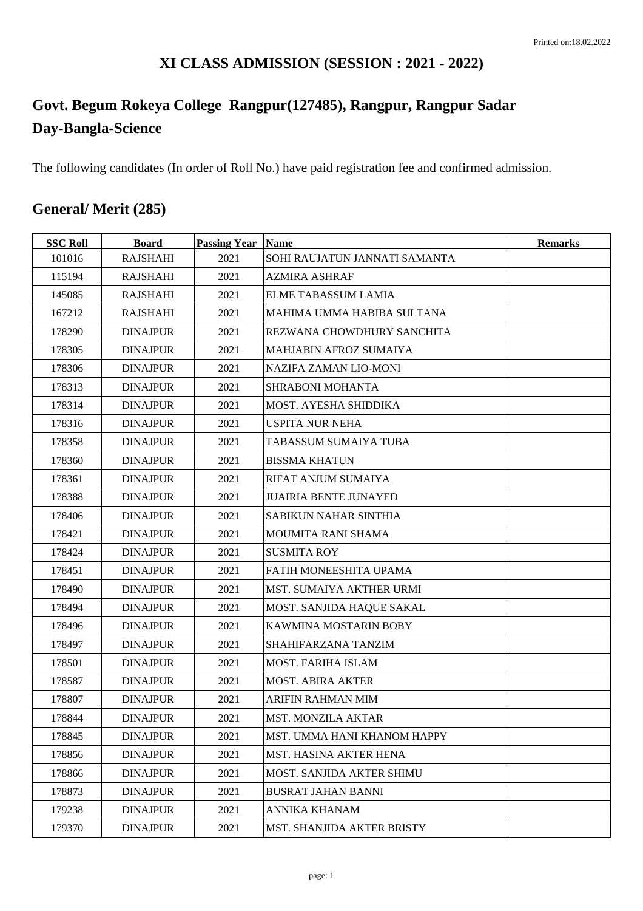### **XI CLASS ADMISSION (SESSION : 2021 - 2022)**

## **Govt. Begum Rokeya College Rangpur(127485), Rangpur, Rangpur Sadar Day-Bangla-Science**

The following candidates (In order of Roll No.) have paid registration fee and confirmed admission.

## **General/ Merit (285)**

| <b>SSC Roll</b> | <b>Board</b>    | <b>Passing Year Name</b> |                                   | <b>Remarks</b> |
|-----------------|-----------------|--------------------------|-----------------------------------|----------------|
| 101016          | <b>RAJSHAHI</b> | 2021                     | SOHI RAUJATUN JANNATI SAMANTA     |                |
| 115194          | <b>RAJSHAHI</b> | 2021                     | <b>AZMIRA ASHRAF</b>              |                |
| 145085          | <b>RAJSHAHI</b> | 2021                     | <b>ELME TABASSUM LAMIA</b>        |                |
| 167212          | <b>RAJSHAHI</b> | 2021                     | MAHIMA UMMA HABIBA SULTANA        |                |
| 178290          | <b>DINAJPUR</b> | 2021                     | REZWANA CHOWDHURY SANCHITA        |                |
| 178305          | <b>DINAJPUR</b> | 2021                     | MAHJABIN AFROZ SUMAIYA            |                |
| 178306          | <b>DINAJPUR</b> | 2021                     | <b>NAZIFA ZAMAN LIO-MONI</b>      |                |
| 178313          | <b>DINAJPUR</b> | 2021                     | SHRABONI MOHANTA                  |                |
| 178314          | <b>DINAJPUR</b> | 2021                     | MOST. AYESHA SHIDDIKA             |                |
| 178316          | <b>DINAJPUR</b> | 2021                     | <b>USPITA NUR NEHA</b>            |                |
| 178358          | <b>DINAJPUR</b> | 2021                     | TABASSUM SUMAIYA TUBA             |                |
| 178360          | <b>DINAJPUR</b> | 2021                     | <b>BISSMA KHATUN</b>              |                |
| 178361          | <b>DINAJPUR</b> | 2021                     | RIFAT ANJUM SUMAIYA               |                |
| 178388          | <b>DINAJPUR</b> | 2021                     | <b>JUAIRIA BENTE JUNAYED</b>      |                |
| 178406          | <b>DINAJPUR</b> | 2021                     | <b>SABIKUN NAHAR SINTHIA</b>      |                |
| 178421          | <b>DINAJPUR</b> | 2021                     | MOUMITA RANI SHAMA                |                |
| 178424          | <b>DINAJPUR</b> | 2021                     | <b>SUSMITA ROY</b>                |                |
| 178451          | <b>DINAJPUR</b> | 2021                     | FATIH MONEESHITA UPAMA            |                |
| 178490          | <b>DINAJPUR</b> | 2021                     | MST. SUMAIYA AKTHER URMI          |                |
| 178494          | <b>DINAJPUR</b> | 2021                     | MOST. SANJIDA HAQUE SAKAL         |                |
| 178496          | <b>DINAJPUR</b> | 2021                     | KAWMINA MOSTARIN BOBY             |                |
| 178497          | <b>DINAJPUR</b> | 2021                     | SHAHIFARZANA TANZIM               |                |
| 178501          | <b>DINAJPUR</b> | 2021                     | MOST. FARIHA ISLAM                |                |
| 178587          | <b>DINAJPUR</b> | 2021                     | <b>MOST. ABIRA AKTER</b>          |                |
| 178807          | <b>DINAJPUR</b> | 2021                     | ARIFIN RAHMAN MIM                 |                |
| 178844          | <b>DINAJPUR</b> | 2021                     | <b>MST. MONZILA AKTAR</b>         |                |
| 178845          | <b>DINAJPUR</b> | 2021                     | MST. UMMA HANI KHANOM HAPPY       |                |
| 178856          | <b>DINAJPUR</b> | 2021                     | <b>MST. HASINA AKTER HENA</b>     |                |
| 178866          | <b>DINAJPUR</b> | 2021                     | <b>MOST. SANJIDA AKTER SHIMU</b>  |                |
| 178873          | <b>DINAJPUR</b> | 2021                     | <b>BUSRAT JAHAN BANNI</b>         |                |
| 179238          | <b>DINAJPUR</b> | 2021                     | ANNIKA KHANAM                     |                |
| 179370          | <b>DINAJPUR</b> | 2021                     | <b>MST. SHANJIDA AKTER BRISTY</b> |                |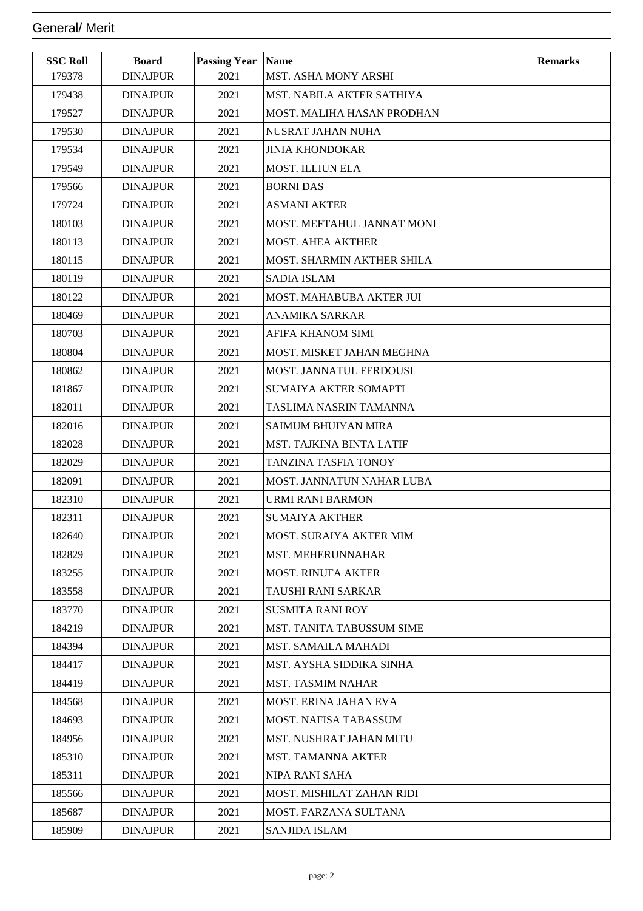| <b>SSC Roll</b> | <b>Board</b>    | <b>Passing Year</b> | Name                            | <b>Remarks</b> |
|-----------------|-----------------|---------------------|---------------------------------|----------------|
| 179378          | <b>DINAJPUR</b> | 2021                | <b>MST. ASHA MONY ARSHI</b>     |                |
| 179438          | <b>DINAJPUR</b> | 2021                | MST. NABILA AKTER SATHIYA       |                |
| 179527          | <b>DINAJPUR</b> | 2021                | MOST. MALIHA HASAN PRODHAN      |                |
| 179530          | <b>DINAJPUR</b> | 2021                | <b>NUSRAT JAHAN NUHA</b>        |                |
| 179534          | <b>DINAJPUR</b> | 2021                | <b>JINIA KHONDOKAR</b>          |                |
| 179549          | <b>DINAJPUR</b> | 2021                | <b>MOST. ILLIUN ELA</b>         |                |
| 179566          | <b>DINAJPUR</b> | 2021                | <b>BORNI DAS</b>                |                |
| 179724          | <b>DINAJPUR</b> | 2021                | <b>ASMANI AKTER</b>             |                |
| 180103          | <b>DINAJPUR</b> | 2021                | MOST. MEFTAHUL JANNAT MONI      |                |
| 180113          | <b>DINAJPUR</b> | 2021                | <b>MOST. AHEA AKTHER</b>        |                |
| 180115          | <b>DINAJPUR</b> | 2021                | MOST. SHARMIN AKTHER SHILA      |                |
| 180119          | <b>DINAJPUR</b> | 2021                | <b>SADIA ISLAM</b>              |                |
| 180122          | <b>DINAJPUR</b> | 2021                | <b>MOST. MAHABUBA AKTER JUI</b> |                |
| 180469          | <b>DINAJPUR</b> | 2021                | <b>ANAMIKA SARKAR</b>           |                |
| 180703          | <b>DINAJPUR</b> | 2021                | AFIFA KHANOM SIMI               |                |
| 180804          | <b>DINAJPUR</b> | 2021                | MOST. MISKET JAHAN MEGHNA       |                |
| 180862          | <b>DINAJPUR</b> | 2021                | MOST. JANNATUL FERDOUSI         |                |
| 181867          | <b>DINAJPUR</b> | 2021                | SUMAIYA AKTER SOMAPTI           |                |
| 182011          | <b>DINAJPUR</b> | 2021                | TASLIMA NASRIN TAMANNA          |                |
| 182016          | <b>DINAJPUR</b> | 2021                | SAIMUM BHUIYAN MIRA             |                |
| 182028          | <b>DINAJPUR</b> | 2021                | MST. TAJKINA BINTA LATIF        |                |
| 182029          | <b>DINAJPUR</b> | 2021                | TANZINA TASFIA TONOY            |                |
| 182091          | <b>DINAJPUR</b> | 2021                | MOST. JANNATUN NAHAR LUBA       |                |
| 182310          | <b>DINAJPUR</b> | 2021                | <b>URMI RANI BARMON</b>         |                |
| 182311          | <b>DINAJPUR</b> | 2021                | <b>SUMAIYA AKTHER</b>           |                |
| 182640          | <b>DINAJPUR</b> | 2021                | MOST. SURAIYA AKTER MIM         |                |
| 182829          | <b>DINAJPUR</b> | 2021                | <b>MST. MEHERUNNAHAR</b>        |                |
| 183255          | <b>DINAJPUR</b> | 2021                | <b>MOST. RINUFA AKTER</b>       |                |
| 183558          | <b>DINAJPUR</b> | 2021                | TAUSHI RANI SARKAR              |                |
| 183770          | <b>DINAJPUR</b> | 2021                | <b>SUSMITA RANI ROY</b>         |                |
| 184219          | <b>DINAJPUR</b> | 2021                | MST. TANITA TABUSSUM SIME       |                |
| 184394          | <b>DINAJPUR</b> | 2021                | MST. SAMAILA MAHADI             |                |
| 184417          | <b>DINAJPUR</b> | 2021                | MST. AYSHA SIDDIKA SINHA        |                |
| 184419          | <b>DINAJPUR</b> | 2021                | <b>MST. TASMIM NAHAR</b>        |                |
| 184568          | <b>DINAJPUR</b> | 2021                | MOST. ERINA JAHAN EVA           |                |
| 184693          | <b>DINAJPUR</b> | 2021                | MOST. NAFISA TABASSUM           |                |
| 184956          | <b>DINAJPUR</b> | 2021                | MST. NUSHRAT JAHAN MITU         |                |
| 185310          | <b>DINAJPUR</b> | 2021                | <b>MST. TAMANNA AKTER</b>       |                |
| 185311          | <b>DINAJPUR</b> | 2021                | NIPA RANI SAHA                  |                |
| 185566          | <b>DINAJPUR</b> | 2021                | MOST. MISHILAT ZAHAN RIDI       |                |
| 185687          | <b>DINAJPUR</b> | 2021                | MOST. FARZANA SULTANA           |                |
| 185909          | <b>DINAJPUR</b> | 2021                | <b>SANJIDA ISLAM</b>            |                |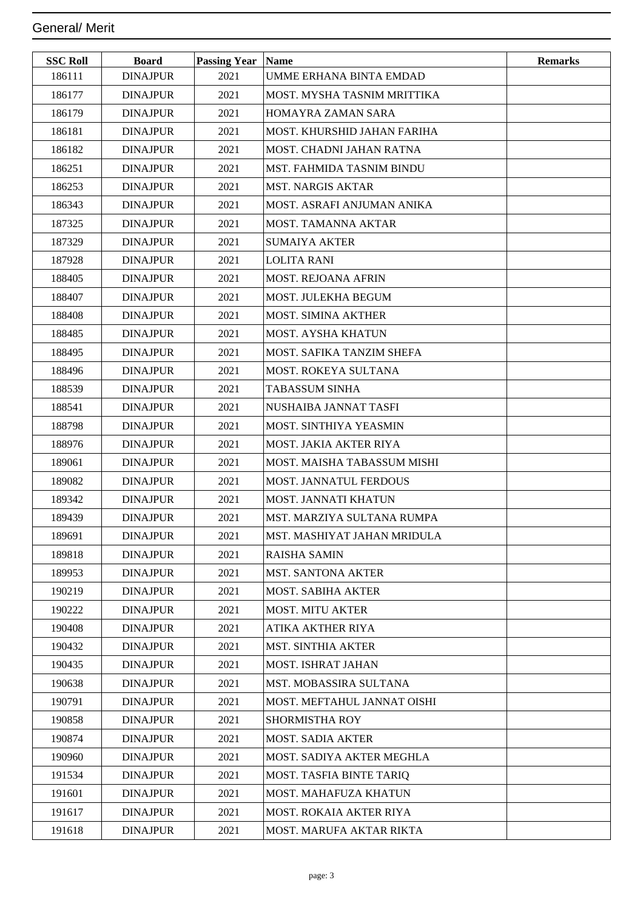| <b>SSC Roll</b> | <b>Board</b>    | <b>Passing Year Name</b> |                                  | <b>Remarks</b> |
|-----------------|-----------------|--------------------------|----------------------------------|----------------|
| 186111          | <b>DINAJPUR</b> | 2021                     | UMME ERHANA BINTA EMDAD          |                |
| 186177          | <b>DINAJPUR</b> | 2021                     | MOST. MYSHA TASNIM MRITTIKA      |                |
| 186179          | <b>DINAJPUR</b> | 2021                     | <b>HOMAYRA ZAMAN SARA</b>        |                |
| 186181          | <b>DINAJPUR</b> | 2021                     | MOST. KHURSHID JAHAN FARIHA      |                |
| 186182          | <b>DINAJPUR</b> | 2021                     | MOST. CHADNI JAHAN RATNA         |                |
| 186251          | <b>DINAJPUR</b> | 2021                     | <b>MST. FAHMIDA TASNIM BINDU</b> |                |
| 186253          | <b>DINAJPUR</b> | 2021                     | <b>MST. NARGIS AKTAR</b>         |                |
| 186343          | <b>DINAJPUR</b> | 2021                     | MOST. ASRAFI ANJUMAN ANIKA       |                |
| 187325          | <b>DINAJPUR</b> | 2021                     | MOST. TAMANNA AKTAR              |                |
| 187329          | <b>DINAJPUR</b> | 2021                     | <b>SUMAIYA AKTER</b>             |                |
| 187928          | <b>DINAJPUR</b> | 2021                     | <b>LOLITA RANI</b>               |                |
| 188405          | <b>DINAJPUR</b> | 2021                     | <b>MOST. REJOANA AFRIN</b>       |                |
| 188407          | <b>DINAJPUR</b> | 2021                     | MOST. JULEKHA BEGUM              |                |
| 188408          | <b>DINAJPUR</b> | 2021                     | <b>MOST. SIMINA AKTHER</b>       |                |
| 188485          | <b>DINAJPUR</b> | 2021                     | MOST. AYSHA KHATUN               |                |
| 188495          | <b>DINAJPUR</b> | 2021                     | MOST. SAFIKA TANZIM SHEFA        |                |
| 188496          | <b>DINAJPUR</b> | 2021                     | <b>MOST. ROKEYA SULTANA</b>      |                |
| 188539          | <b>DINAJPUR</b> | 2021                     | TABASSUM SINHA                   |                |
| 188541          | <b>DINAJPUR</b> | 2021                     | NUSHAIBA JANNAT TASFI            |                |
| 188798          | <b>DINAJPUR</b> | 2021                     | MOST. SINTHIYA YEASMIN           |                |
| 188976          | <b>DINAJPUR</b> | 2021                     | MOST. JAKIA AKTER RIYA           |                |
| 189061          | <b>DINAJPUR</b> | 2021                     | MOST. MAISHA TABASSUM MISHI      |                |
| 189082          | <b>DINAJPUR</b> | 2021                     | <b>MOST. JANNATUL FERDOUS</b>    |                |
| 189342          | <b>DINAJPUR</b> | 2021                     | MOST. JANNATI KHATUN             |                |
| 189439          | <b>DINAJPUR</b> | 2021                     | MST. MARZIYA SULTANA RUMPA       |                |
| 189691          | <b>DINAJPUR</b> | 2021                     | MST. MASHIYAT JAHAN MRIDULA      |                |
| 189818          | <b>DINAJPUR</b> | 2021                     | <b>RAISHA SAMIN</b>              |                |
| 189953          | <b>DINAJPUR</b> | 2021                     | <b>MST. SANTONA AKTER</b>        |                |
| 190219          | <b>DINAJPUR</b> | 2021                     | <b>MOST. SABIHA AKTER</b>        |                |
| 190222          | <b>DINAJPUR</b> | 2021                     | <b>MOST. MITU AKTER</b>          |                |
| 190408          | <b>DINAJPUR</b> | 2021                     | ATIKA AKTHER RIYA                |                |
| 190432          | <b>DINAJPUR</b> | 2021                     | <b>MST. SINTHIA AKTER</b>        |                |
| 190435          | <b>DINAJPUR</b> | 2021                     | MOST. ISHRAT JAHAN               |                |
| 190638          | <b>DINAJPUR</b> | 2021                     | MST. MOBASSIRA SULTANA           |                |
| 190791          | <b>DINAJPUR</b> | 2021                     | MOST. MEFTAHUL JANNAT OISHI      |                |
| 190858          | <b>DINAJPUR</b> | 2021                     | <b>SHORMISTHA ROY</b>            |                |
| 190874          | <b>DINAJPUR</b> | 2021                     | <b>MOST. SADIA AKTER</b>         |                |
| 190960          | <b>DINAJPUR</b> | 2021                     | MOST. SADIYA AKTER MEGHLA        |                |
| 191534          | <b>DINAJPUR</b> | 2021                     | MOST. TASFIA BINTE TARIQ         |                |
| 191601          | <b>DINAJPUR</b> | 2021                     | MOST. MAHAFUZA KHATUN            |                |
| 191617          | <b>DINAJPUR</b> | 2021                     | MOST. ROKAIA AKTER RIYA          |                |
| 191618          | <b>DINAJPUR</b> | 2021                     | MOST. MARUFA AKTAR RIKTA         |                |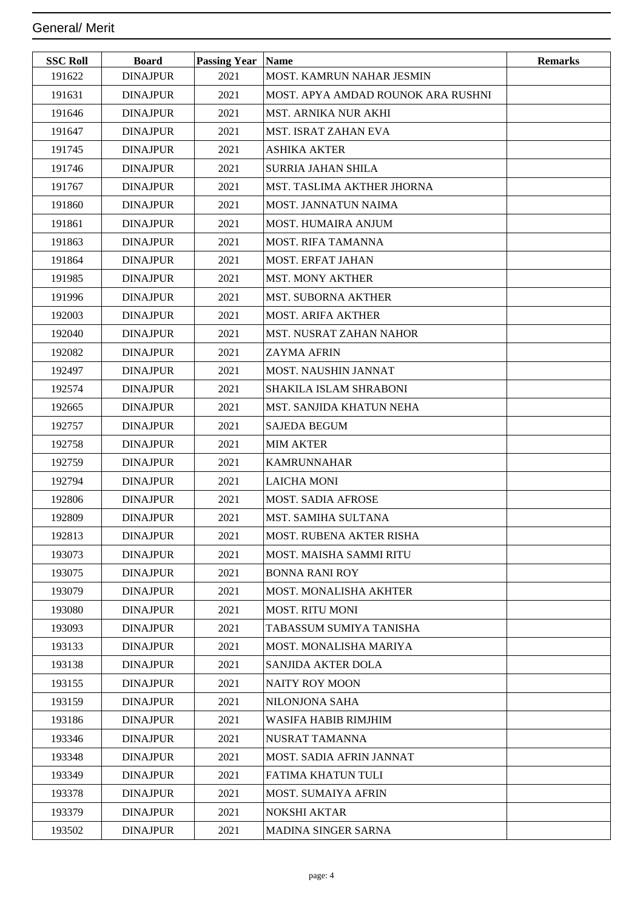| <b>SSC Roll</b> | <b>Board</b>    | <b>Passing Year</b> | Name                               | <b>Remarks</b> |
|-----------------|-----------------|---------------------|------------------------------------|----------------|
| 191622          | <b>DINAJPUR</b> | 2021                | MOST. KAMRUN NAHAR JESMIN          |                |
| 191631          | <b>DINAJPUR</b> | 2021                | MOST. APYA AMDAD ROUNOK ARA RUSHNI |                |
| 191646          | <b>DINAJPUR</b> | 2021                | MST. ARNIKA NUR AKHI               |                |
| 191647          | <b>DINAJPUR</b> | 2021                | MST. ISRAT ZAHAN EVA               |                |
| 191745          | <b>DINAJPUR</b> | 2021                | <b>ASHIKA AKTER</b>                |                |
| 191746          | <b>DINAJPUR</b> | 2021                | <b>SURRIA JAHAN SHILA</b>          |                |
| 191767          | <b>DINAJPUR</b> | 2021                | MST. TASLIMA AKTHER JHORNA         |                |
| 191860          | <b>DINAJPUR</b> | 2021                | <b>MOST. JANNATUN NAIMA</b>        |                |
| 191861          | <b>DINAJPUR</b> | 2021                | <b>MOST. HUMAIRA ANJUM</b>         |                |
| 191863          | <b>DINAJPUR</b> | 2021                | <b>MOST. RIFA TAMANNA</b>          |                |
| 191864          | <b>DINAJPUR</b> | 2021                | <b>MOST. ERFAT JAHAN</b>           |                |
| 191985          | <b>DINAJPUR</b> | 2021                | <b>MST. MONY AKTHER</b>            |                |
| 191996          | <b>DINAJPUR</b> | 2021                | <b>MST. SUBORNA AKTHER</b>         |                |
| 192003          | <b>DINAJPUR</b> | 2021                | <b>MOST. ARIFA AKTHER</b>          |                |
| 192040          | <b>DINAJPUR</b> | 2021                | MST. NUSRAT ZAHAN NAHOR            |                |
| 192082          | <b>DINAJPUR</b> | 2021                | <b>ZAYMA AFRIN</b>                 |                |
| 192497          | <b>DINAJPUR</b> | 2021                | MOST. NAUSHIN JANNAT               |                |
| 192574          | <b>DINAJPUR</b> | 2021                | <b>SHAKILA ISLAM SHRABONI</b>      |                |
| 192665          | <b>DINAJPUR</b> | 2021                | MST. SANJIDA KHATUN NEHA           |                |
| 192757          | <b>DINAJPUR</b> | 2021                | <b>SAJEDA BEGUM</b>                |                |
| 192758          | <b>DINAJPUR</b> | 2021                | <b>MIM AKTER</b>                   |                |
| 192759          | <b>DINAJPUR</b> | 2021                | <b>KAMRUNNAHAR</b>                 |                |
| 192794          | <b>DINAJPUR</b> | 2021                | <b>LAICHA MONI</b>                 |                |
| 192806          | <b>DINAJPUR</b> | 2021                | <b>MOST. SADIA AFROSE</b>          |                |
| 192809          | <b>DINAJPUR</b> | 2021                | <b>MST. SAMIHA SULTANA</b>         |                |
| 192813          | <b>DINAJPUR</b> | 2021                | MOST. RUBENA AKTER RISHA           |                |
| 193073          | <b>DINAJPUR</b> | 2021                | <b>MOST. MAISHA SAMMI RITU</b>     |                |
| 193075          | <b>DINAJPUR</b> | 2021                | <b>BONNA RANI ROY</b>              |                |
| 193079          | <b>DINAJPUR</b> | 2021                | <b>MOST. MONALISHA AKHTER</b>      |                |
| 193080          | <b>DINAJPUR</b> | 2021                | <b>MOST. RITU MONI</b>             |                |
| 193093          | <b>DINAJPUR</b> | 2021                | TABASSUM SUMIYA TANISHA            |                |
| 193133          | <b>DINAJPUR</b> | 2021                | <b>MOST. MONALISHA MARIYA</b>      |                |
| 193138          | <b>DINAJPUR</b> | 2021                | SANJIDA AKTER DOLA                 |                |
| 193155          | <b>DINAJPUR</b> | 2021                | <b>NAITY ROY MOON</b>              |                |
| 193159          | <b>DINAJPUR</b> | 2021                | NILONJONA SAHA                     |                |
| 193186          | <b>DINAJPUR</b> | 2021                | WASIFA HABIB RIMJHIM               |                |
| 193346          | <b>DINAJPUR</b> | 2021                | NUSRAT TAMANNA                     |                |
| 193348          | <b>DINAJPUR</b> | 2021                | <b>MOST. SADIA AFRIN JANNAT</b>    |                |
| 193349          | <b>DINAJPUR</b> | 2021                | FATIMA KHATUN TULI                 |                |
| 193378          | <b>DINAJPUR</b> | 2021                | MOST. SUMAIYA AFRIN                |                |
| 193379          | <b>DINAJPUR</b> | 2021                | <b>NOKSHI AKTAR</b>                |                |
| 193502          | <b>DINAJPUR</b> | 2021                | MADINA SINGER SARNA                |                |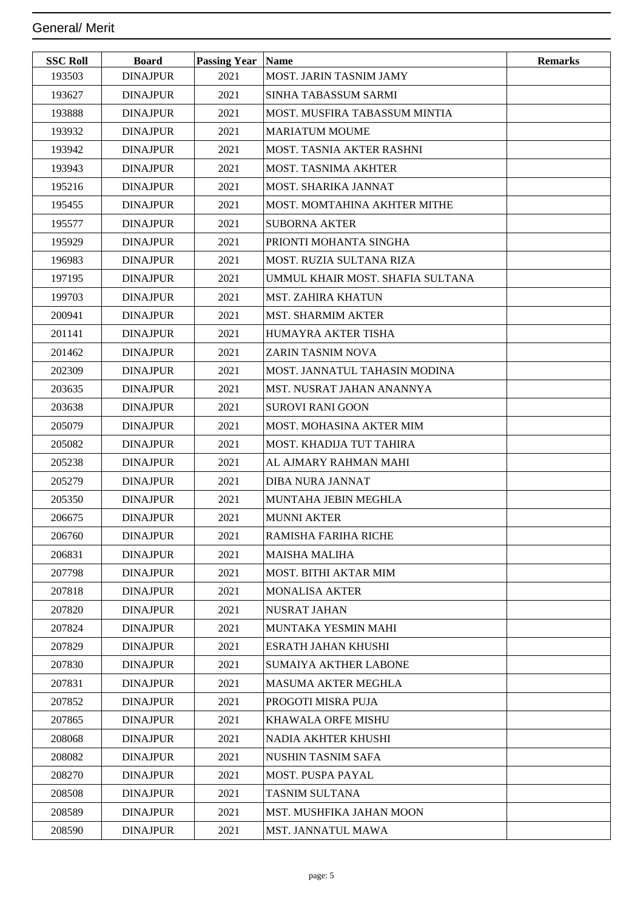| <b>SSC Roll</b> | <b>Board</b>    | <b>Passing Year</b> | <b>Name</b>                      | <b>Remarks</b> |
|-----------------|-----------------|---------------------|----------------------------------|----------------|
| 193503          | <b>DINAJPUR</b> | 2021                | MOST. JARIN TASNIM JAMY          |                |
| 193627          | <b>DINAJPUR</b> | 2021                | SINHA TABASSUM SARMI             |                |
| 193888          | <b>DINAJPUR</b> | 2021                | MOST. MUSFIRA TABASSUM MINTIA    |                |
| 193932          | <b>DINAJPUR</b> | 2021                | <b>MARIATUM MOUME</b>            |                |
| 193942          | <b>DINAJPUR</b> | 2021                | MOST. TASNIA AKTER RASHNI        |                |
| 193943          | <b>DINAJPUR</b> | 2021                | <b>MOST. TASNIMA AKHTER</b>      |                |
| 195216          | <b>DINAJPUR</b> | 2021                | MOST. SHARIKA JANNAT             |                |
| 195455          | <b>DINAJPUR</b> | 2021                | MOST. MOMTAHINA AKHTER MITHE     |                |
| 195577          | <b>DINAJPUR</b> | 2021                | <b>SUBORNA AKTER</b>             |                |
| 195929          | <b>DINAJPUR</b> | 2021                | PRIONTI MOHANTA SINGHA           |                |
| 196983          | <b>DINAJPUR</b> | 2021                | <b>MOST. RUZIA SULTANA RIZA</b>  |                |
| 197195          | <b>DINAJPUR</b> | 2021                | UMMUL KHAIR MOST. SHAFIA SULTANA |                |
| 199703          | <b>DINAJPUR</b> | 2021                | <b>MST. ZAHIRA KHATUN</b>        |                |
| 200941          | <b>DINAJPUR</b> | 2021                | <b>MST. SHARMIM AKTER</b>        |                |
| 201141          | <b>DINAJPUR</b> | 2021                | HUMAYRA AKTER TISHA              |                |
| 201462          | <b>DINAJPUR</b> | 2021                | ZARIN TASNIM NOVA                |                |
| 202309          | <b>DINAJPUR</b> | 2021                | MOST. JANNATUL TAHASIN MODINA    |                |
| 203635          | <b>DINAJPUR</b> | 2021                | MST. NUSRAT JAHAN ANANNYA        |                |
| 203638          | <b>DINAJPUR</b> | 2021                | <b>SUROVI RANI GOON</b>          |                |
| 205079          | <b>DINAJPUR</b> | 2021                | MOST. MOHASINA AKTER MIM         |                |
| 205082          | <b>DINAJPUR</b> | 2021                | MOST. KHADIJA TUT TAHIRA         |                |
| 205238          | <b>DINAJPUR</b> | 2021                | AL AJMARY RAHMAN MAHI            |                |
| 205279          | <b>DINAJPUR</b> | 2021                | <b>DIBA NURA JANNAT</b>          |                |
| 205350          | <b>DINAJPUR</b> | 2021                | MUNTAHA JEBIN MEGHLA             |                |
| 206675          | <b>DINAJPUR</b> | 2021                | <b>MUNNI AKTER</b>               |                |
| 206760          | <b>DINAJPUR</b> | 2021                | RAMISHA FARIHA RICHE             |                |
| 206831          | <b>DINAJPUR</b> | 2021                | <b>MAISHA MALIHA</b>             |                |
| 207798          | <b>DINAJPUR</b> | 2021                | MOST. BITHI AKTAR MIM            |                |
| 207818          | <b>DINAJPUR</b> | 2021                | <b>MONALISA AKTER</b>            |                |
| 207820          | <b>DINAJPUR</b> | 2021                | <b>NUSRAT JAHAN</b>              |                |
| 207824          | <b>DINAJPUR</b> | 2021                | MUNTAKA YESMIN MAHI              |                |
| 207829          | <b>DINAJPUR</b> | 2021                | ESRATH JAHAN KHUSHI              |                |
| 207830          | <b>DINAJPUR</b> | 2021                | <b>SUMAIYA AKTHER LABONE</b>     |                |
| 207831          | <b>DINAJPUR</b> | 2021                | <b>MASUMA AKTER MEGHLA</b>       |                |
| 207852          | <b>DINAJPUR</b> | 2021                | PROGOTI MISRA PUJA               |                |
| 207865          | <b>DINAJPUR</b> | 2021                | <b>KHAWALA ORFE MISHU</b>        |                |
| 208068          | <b>DINAJPUR</b> | 2021                | NADIA AKHTER KHUSHI              |                |
| 208082          | <b>DINAJPUR</b> | 2021                | NUSHIN TASNIM SAFA               |                |
| 208270          | <b>DINAJPUR</b> | 2021                | MOST. PUSPA PAYAL                |                |
| 208508          | <b>DINAJPUR</b> | 2021                | <b>TASNIM SULTANA</b>            |                |
| 208589          | <b>DINAJPUR</b> | 2021                | MST. MUSHFIKA JAHAN MOON         |                |
| 208590          | <b>DINAJPUR</b> | 2021                | MST. JANNATUL MAWA               |                |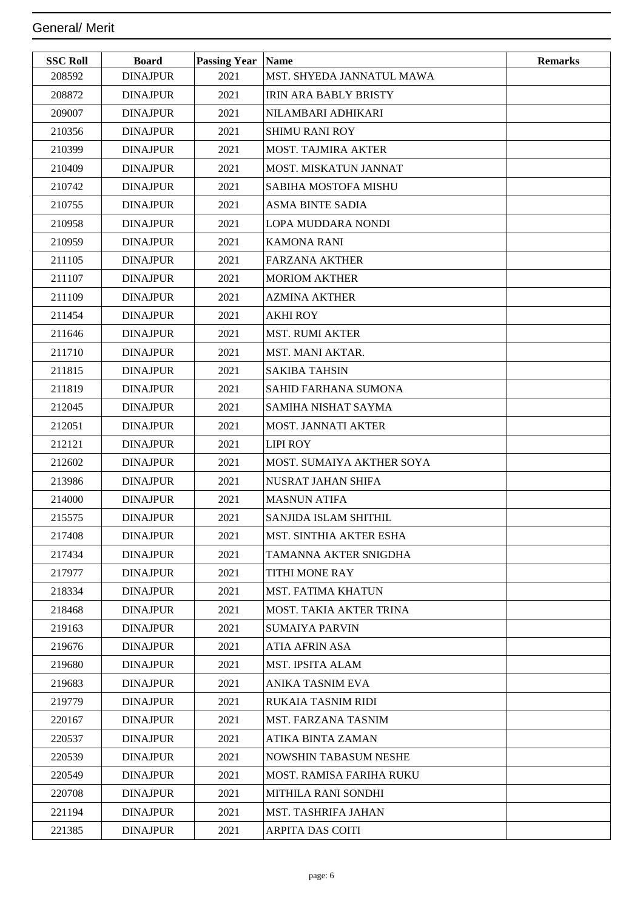| <b>SSC Roll</b> | <b>Board</b>    | <b>Passing Year Name</b> |                                | <b>Remarks</b> |
|-----------------|-----------------|--------------------------|--------------------------------|----------------|
| 208592          | <b>DINAJPUR</b> | 2021                     | MST. SHYEDA JANNATUL MAWA      |                |
| 208872          | <b>DINAJPUR</b> | 2021                     | <b>IRIN ARA BABLY BRISTY</b>   |                |
| 209007          | <b>DINAJPUR</b> | 2021                     | NILAMBARI ADHIKARI             |                |
| 210356          | <b>DINAJPUR</b> | 2021                     | <b>SHIMU RANI ROY</b>          |                |
| 210399          | <b>DINAJPUR</b> | 2021                     | <b>MOST. TAJMIRA AKTER</b>     |                |
| 210409          | <b>DINAJPUR</b> | 2021                     | <b>MOST. MISKATUN JANNAT</b>   |                |
| 210742          | <b>DINAJPUR</b> | 2021                     | SABIHA MOSTOFA MISHU           |                |
| 210755          | <b>DINAJPUR</b> | 2021                     | <b>ASMA BINTE SADIA</b>        |                |
| 210958          | <b>DINAJPUR</b> | 2021                     | LOPA MUDDARA NONDI             |                |
| 210959          | <b>DINAJPUR</b> | 2021                     | <b>KAMONA RANI</b>             |                |
| 211105          | <b>DINAJPUR</b> | 2021                     | <b>FARZANA AKTHER</b>          |                |
| 211107          | <b>DINAJPUR</b> | 2021                     | <b>MORIOM AKTHER</b>           |                |
| 211109          | <b>DINAJPUR</b> | 2021                     | <b>AZMINA AKTHER</b>           |                |
| 211454          | <b>DINAJPUR</b> | 2021                     | <b>AKHI ROY</b>                |                |
| 211646          | <b>DINAJPUR</b> | 2021                     | <b>MST. RUMI AKTER</b>         |                |
| 211710          | <b>DINAJPUR</b> | 2021                     | MST. MANI AKTAR.               |                |
| 211815          | <b>DINAJPUR</b> | 2021                     | <b>SAKIBA TAHSIN</b>           |                |
| 211819          | <b>DINAJPUR</b> | 2021                     | SAHID FARHANA SUMONA           |                |
| 212045          | <b>DINAJPUR</b> | 2021                     | SAMIHA NISHAT SAYMA            |                |
| 212051          | <b>DINAJPUR</b> | 2021                     | MOST. JANNATI AKTER            |                |
| 212121          | <b>DINAJPUR</b> | 2021                     | <b>LIPI ROY</b>                |                |
| 212602          | <b>DINAJPUR</b> | 2021                     | MOST. SUMAIYA AKTHER SOYA      |                |
| 213986          | <b>DINAJPUR</b> | 2021                     | <b>NUSRAT JAHAN SHIFA</b>      |                |
| 214000          | <b>DINAJPUR</b> | 2021                     | <b>MASNUN ATIFA</b>            |                |
| 215575          | <b>DINAJPUR</b> | 2021                     | SANJIDA ISLAM SHITHIL          |                |
| 217408          | <b>DINAJPUR</b> | 2021                     | MST. SINTHIA AKTER ESHA        |                |
| 217434          | <b>DINAJPUR</b> | 2021                     | TAMANNA AKTER SNIGDHA          |                |
| 217977          | <b>DINAJPUR</b> | 2021                     | TITHI MONE RAY                 |                |
| 218334          | <b>DINAJPUR</b> | 2021                     | <b>MST. FATIMA KHATUN</b>      |                |
| 218468          | <b>DINAJPUR</b> | 2021                     | <b>MOST. TAKIA AKTER TRINA</b> |                |
| 219163          | <b>DINAJPUR</b> | 2021                     | <b>SUMAIYA PARVIN</b>          |                |
| 219676          | <b>DINAJPUR</b> | 2021                     | <b>ATIA AFRIN ASA</b>          |                |
| 219680          | <b>DINAJPUR</b> | 2021                     | <b>MST. IPSITA ALAM</b>        |                |
| 219683          | <b>DINAJPUR</b> | 2021                     | ANIKA TASNIM EVA               |                |
| 219779          | <b>DINAJPUR</b> | 2021                     | RUKAIA TASNIM RIDI             |                |
| 220167          | <b>DINAJPUR</b> | 2021                     | <b>MST. FARZANA TASNIM</b>     |                |
| 220537          | <b>DINAJPUR</b> | 2021                     | <b>ATIKA BINTA ZAMAN</b>       |                |
| 220539          | <b>DINAJPUR</b> | 2021                     | NOWSHIN TABASUM NESHE          |                |
| 220549          | <b>DINAJPUR</b> | 2021                     | MOST. RAMISA FARIHA RUKU       |                |
| 220708          | <b>DINAJPUR</b> | 2021                     | MITHILA RANI SONDHI            |                |
| 221194          | <b>DINAJPUR</b> | 2021                     | MST. TASHRIFA JAHAN            |                |
| 221385          | <b>DINAJPUR</b> | 2021                     | <b>ARPITA DAS COITI</b>        |                |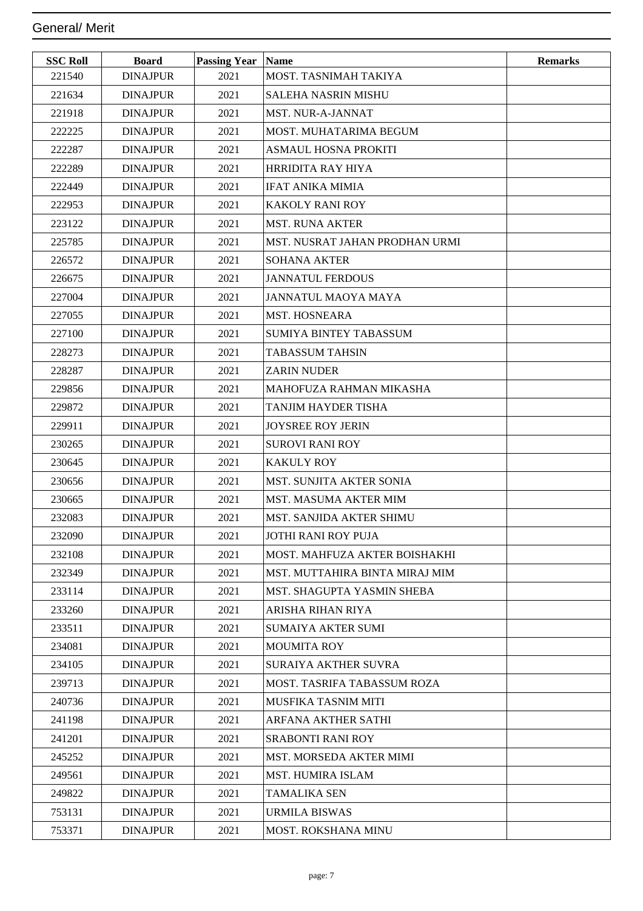| <b>SSC Roll</b> | <b>Board</b>    | <b>Passing Year Name</b> |                                | <b>Remarks</b> |
|-----------------|-----------------|--------------------------|--------------------------------|----------------|
| 221540          | <b>DINAJPUR</b> | 2021                     | MOST. TASNIMAH TAKIYA          |                |
| 221634          | <b>DINAJPUR</b> | 2021                     | <b>SALEHA NASRIN MISHU</b>     |                |
| 221918          | <b>DINAJPUR</b> | 2021                     | <b>MST. NUR-A-JANNAT</b>       |                |
| 222225          | <b>DINAJPUR</b> | 2021                     | <b>MOST. MUHATARIMA BEGUM</b>  |                |
| 222287          | <b>DINAJPUR</b> | 2021                     | <b>ASMAUL HOSNA PROKITI</b>    |                |
| 222289          | <b>DINAJPUR</b> | 2021                     | <b>HRRIDITA RAY HIYA</b>       |                |
| 222449          | <b>DINAJPUR</b> | 2021                     | <b>IFAT ANIKA MIMIA</b>        |                |
| 222953          | <b>DINAJPUR</b> | 2021                     | <b>KAKOLY RANI ROY</b>         |                |
| 223122          | <b>DINAJPUR</b> | 2021                     | <b>MST. RUNA AKTER</b>         |                |
| 225785          | <b>DINAJPUR</b> | 2021                     | MST. NUSRAT JAHAN PRODHAN URMI |                |
| 226572          | <b>DINAJPUR</b> | 2021                     | <b>SOHANA AKTER</b>            |                |
| 226675          | <b>DINAJPUR</b> | 2021                     | <b>JANNATUL FERDOUS</b>        |                |
| 227004          | <b>DINAJPUR</b> | 2021                     | <b>JANNATUL MAOYA MAYA</b>     |                |
| 227055          | <b>DINAJPUR</b> | 2021                     | <b>MST. HOSNEARA</b>           |                |
| 227100          | <b>DINAJPUR</b> | 2021                     | SUMIYA BINTEY TABASSUM         |                |
| 228273          | <b>DINAJPUR</b> | 2021                     | <b>TABASSUM TAHSIN</b>         |                |
| 228287          | <b>DINAJPUR</b> | 2021                     | <b>ZARIN NUDER</b>             |                |
| 229856          | <b>DINAJPUR</b> | 2021                     | MAHOFUZA RAHMAN MIKASHA        |                |
| 229872          | <b>DINAJPUR</b> | 2021                     | TANJIM HAYDER TISHA            |                |
| 229911          | <b>DINAJPUR</b> | 2021                     | <b>JOYSREE ROY JERIN</b>       |                |
| 230265          | <b>DINAJPUR</b> | 2021                     | <b>SUROVI RANI ROY</b>         |                |
| 230645          | <b>DINAJPUR</b> | 2021                     | <b>KAKULY ROY</b>              |                |
| 230656          | <b>DINAJPUR</b> | 2021                     | MST. SUNJITA AKTER SONIA       |                |
| 230665          | <b>DINAJPUR</b> | 2021                     | MST. MASUMA AKTER MIM          |                |
| 232083          | <b>DINAJPUR</b> | 2021                     | MST. SANJIDA AKTER SHIMU       |                |
| 232090          | <b>DINAJPUR</b> | 2021                     | JOTHI RANI ROY PUJA            |                |
| 232108          | <b>DINAJPUR</b> | 2021                     | MOST. MAHFUZA AKTER BOISHAKHI  |                |
| 232349          | <b>DINAJPUR</b> | 2021                     | MST. MUTTAHIRA BINTA MIRAJ MIM |                |
| 233114          | <b>DINAJPUR</b> | 2021                     | MST. SHAGUPTA YASMIN SHEBA     |                |
| 233260          | <b>DINAJPUR</b> | 2021                     | ARISHA RIHAN RIYA              |                |
| 233511          | <b>DINAJPUR</b> | 2021                     | <b>SUMAIYA AKTER SUMI</b>      |                |
| 234081          | <b>DINAJPUR</b> | 2021                     | <b>MOUMITA ROY</b>             |                |
| 234105          | <b>DINAJPUR</b> | 2021                     | <b>SURAIYA AKTHER SUVRA</b>    |                |
| 239713          | <b>DINAJPUR</b> | 2021                     | MOST. TASRIFA TABASSUM ROZA    |                |
| 240736          | <b>DINAJPUR</b> | 2021                     | <b>MUSFIKA TASNIM MITI</b>     |                |
| 241198          | <b>DINAJPUR</b> | 2021                     | ARFANA AKTHER SATHI            |                |
| 241201          | <b>DINAJPUR</b> | 2021                     | SRABONTI RANI ROY              |                |
| 245252          | <b>DINAJPUR</b> | 2021                     | MST. MORSEDA AKTER MIMI        |                |
| 249561          | <b>DINAJPUR</b> | 2021                     | MST. HUMIRA ISLAM              |                |
| 249822          | <b>DINAJPUR</b> | 2021                     | <b>TAMALIKA SEN</b>            |                |
| 753131          | <b>DINAJPUR</b> | 2021                     | <b>URMILA BISWAS</b>           |                |
| 753371          | <b>DINAJPUR</b> | 2021                     | MOST. ROKSHANA MINU            |                |